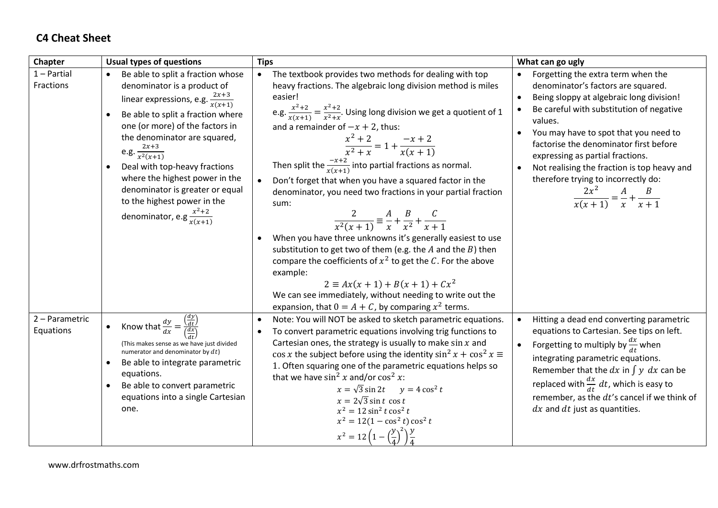## **C4 Cheat Sheet**

| Chapter                     | <b>Usual types of questions</b>                                                                                                                                                                                                                                                                                                                                                                                                                         | <b>Tips</b>                                                                                                                                                                                                                                                                                                                                                                                                                                                                                                                                                                                                                                                                                                                                                                                                                                                                                                                                                                                                                   | What can go ugly                                                                                                                                                                                                                                                                                                                                                                                                                                             |
|-----------------------------|---------------------------------------------------------------------------------------------------------------------------------------------------------------------------------------------------------------------------------------------------------------------------------------------------------------------------------------------------------------------------------------------------------------------------------------------------------|-------------------------------------------------------------------------------------------------------------------------------------------------------------------------------------------------------------------------------------------------------------------------------------------------------------------------------------------------------------------------------------------------------------------------------------------------------------------------------------------------------------------------------------------------------------------------------------------------------------------------------------------------------------------------------------------------------------------------------------------------------------------------------------------------------------------------------------------------------------------------------------------------------------------------------------------------------------------------------------------------------------------------------|--------------------------------------------------------------------------------------------------------------------------------------------------------------------------------------------------------------------------------------------------------------------------------------------------------------------------------------------------------------------------------------------------------------------------------------------------------------|
| $1 -$ Partial<br>Fractions  | Be able to split a fraction whose<br>denominator is a product of<br>linear expressions, e.g. $\frac{2x+3}{x(x+1)}$<br>Be able to split a fraction where<br>$\bullet$<br>one (or more) of the factors in<br>the denominator are squared,<br>e.g. $\frac{2x+3}{x^2(x+1)}$<br>Deal with top-heavy fractions<br>where the highest power in the<br>denominator is greater or equal<br>to the highest power in the<br>denominator, e.g $\frac{x^2+2}{x(x+1)}$ | The textbook provides two methods for dealing with top<br>$\bullet$<br>heavy fractions. The algebraic long division method is miles<br>easier!<br>e.g. $\frac{x^2+2}{x(x+1)} = \frac{x^2+2}{x^2+x}$ . Using long division we get a quotient of 1<br>and a remainder of $-x + 2$ , thus:<br>$\frac{x^2+2}{x^2+x} = 1 + \frac{-x+2}{x(x+1)}$<br>Then split the $\frac{-x+2}{x(x+1)}$ into partial fractions as normal.<br>Don't forget that when you have a squared factor in the<br>$\bullet$<br>denominator, you need two fractions in your partial fraction<br>sum:<br>$rac{2}{x^2(x+1)} \equiv \frac{A}{x} + \frac{B}{x^2} + \frac{C}{x+1}$<br>When you have three unknowns it's generally easiest to use<br>substitution to get two of them (e.g. the $A$ and the $B$ ) then<br>compare the coefficients of $x^2$ to get the C. For the above<br>example:<br>$2 \equiv Ax(x + 1) + B(x + 1) + Cx^2$<br>We can see immediately, without needing to write out the<br>expansion, that $0 = A + C$ , by comparing $x^2$ terms. | Forgetting the extra term when the<br>denominator's factors are squared.<br>Being sloppy at algebraic long division!<br>$\bullet$<br>Be careful with substitution of negative<br>values.<br>You may have to spot that you need to<br>factorise the denominator first before<br>expressing as partial fractions.<br>Not realising the fraction is top heavy and<br>therefore trying to incorrectly do:<br>$\frac{2x^2}{x(x+1)} = \frac{A}{x} + \frac{B}{x+1}$ |
| 2 - Parametric<br>Equations | Know that $\frac{dy}{dx} = \frac{\frac{dy}{dt}}{\frac{dx}{dt}}$<br>(This makes sense as we have just divided<br>numerator and denominator by $dt$ )<br>Be able to integrate parametric<br>$\bullet$<br>equations.<br>Be able to convert parametric<br>$\bullet$<br>equations into a single Cartesian<br>one.                                                                                                                                            | Note: You will NOT be asked to sketch parametric equations.<br>$\bullet$<br>To convert parametric equations involving trig functions to<br>$\bullet$<br>Cartesian ones, the strategy is usually to make $\sin x$ and<br>$\cos x$ the subject before using the identity $\sin^2 x + \cos^2 x \equiv$<br>1. Often squaring one of the parametric equations helps so<br>that we have $\sin^2 x$ and/or $\cos^2 x$ :<br>$x = \sqrt{3} \sin 2t$ $y = 4 \cos^2 t$<br>$x = 2\sqrt{3} \sin t \cos t$<br>$x^2 = 12 \sin^2 t \cos^2 t$<br>$x^2 = 12(1 - \cos^2 t) \cos^2 t$<br>$x^2 = 12\left(1 - \left(\frac{y}{4}\right)^2\right)\frac{y}{4}$                                                                                                                                                                                                                                                                                                                                                                                         | Hitting a dead end converting parametric<br>$\bullet$<br>equations to Cartesian. See tips on left.<br>Forgetting to multiply by $\frac{ax}{dt}$ when<br>integrating parametric equations.<br>Remember that the dx in $\int y \, dx$ can be<br>replaced with $\frac{dx}{dt} dt$ , which is easy to<br>remember, as the dt's cancel if we think of<br>$dx$ and $dt$ just as quantities.                                                                        |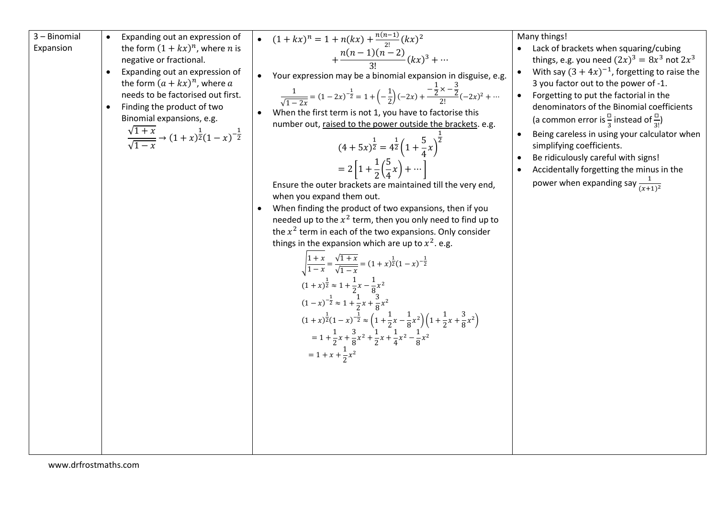3 – Binomial Expansion Expanding out an expression of the form (1 + ) , where is negative or fractional.

- Expanding out an expression of the form  $(a + kx)^n$ , where  $a$ needs to be factorised out first.
- Finding the product of two Binomial expansions, e.g.

$$
\frac{\sqrt{1+x}}{\sqrt{1-x}} \to (1+x)^{\frac{1}{2}}(1-x)^{-\frac{1}{2}}
$$

• 
$$
(1 + kx)^n = 1 + n(kx) + \frac{n(n-1)}{2!} (kx)^2 + \frac{n(n-1)(n-2)}{3!} (kx)^3 + \cdots
$$

Your expression may be a binomial expansion in disguise, e.g.

$$
\frac{1}{\sqrt{1-2x}} = (1-2x)^{-\frac{1}{2}} = 1 + \left(-\frac{1}{2}\right)(-2x) + \frac{-\frac{1}{2} \times -\frac{3}{2}}{2!}(-2x)^2 + \cdots
$$

 When the first term is not 1, you have to factorise this number out, raised to the power outside the brackets. e.g.

$$
(4+5x)^{\frac{1}{2}} = 4^{\frac{1}{2}} \left( 1 + \frac{5}{4} x \right)^{\frac{1}{2}}
$$

$$
= 2 \left[ 1 + \frac{1}{2} \left( \frac{5}{4} x \right) + \cdots \right]
$$

Ensure the outer brackets are maintained till the very end, when you expand them out.

 When finding the product of two expansions, then if you needed up to the  $x^2$  term, then you only need to find up to the  $x^2$  term in each of the two expansions. Only consider things in the expansion which are up to  $x^2$ . e.g.

$$
\sqrt{\frac{1+x}{1-x}} = \frac{\sqrt{1+x}}{\sqrt{1-x}} = (1+x)^{\frac{1}{2}}(1-x)^{-\frac{1}{2}}
$$
  
\n
$$
(1+x)^{\frac{1}{2}} \approx 1 + \frac{1}{2}x - \frac{1}{8}x^{2}
$$
  
\n
$$
(1-x)^{-\frac{1}{2}} \approx 1 + \frac{1}{2}x + \frac{3}{8}x^{2}
$$
  
\n
$$
(1+x)^{\frac{1}{2}}(1-x)^{-\frac{1}{2}} \approx \left(1 + \frac{1}{2}x - \frac{1}{8}x^{2}\right)\left(1 + \frac{1}{2}x + \frac{3}{8}x^{2}\right)
$$
  
\n
$$
= 1 + \frac{1}{2}x + \frac{3}{8}x^{2} + \frac{1}{2}x + \frac{1}{4}x^{2} - \frac{1}{8}x^{2}
$$
  
\n
$$
= 1 + x + \frac{1}{2}x^{2}
$$

Many things!

- Lack of brackets when squaring/cubing things, e.g. you need  $(2x)^3 = 8x^3$  not  $2x^3$
- With say  $(3 + 4x)^{-1}$ , forgetting to raise the 3 you factor out to the power of -1.
- Forgetting to put the factorial in the denominators of the Binomial coefficients (a common error is  $\frac{\Box}{3}$  instead of  $\frac{\Box}{3!}$ )
- Being careless in using your calculator when simplifying coefficients.
- Be ridiculously careful with signs!
- Accidentally forgetting the minus in the power when expanding say  $\frac{1}{(x+1)^2}$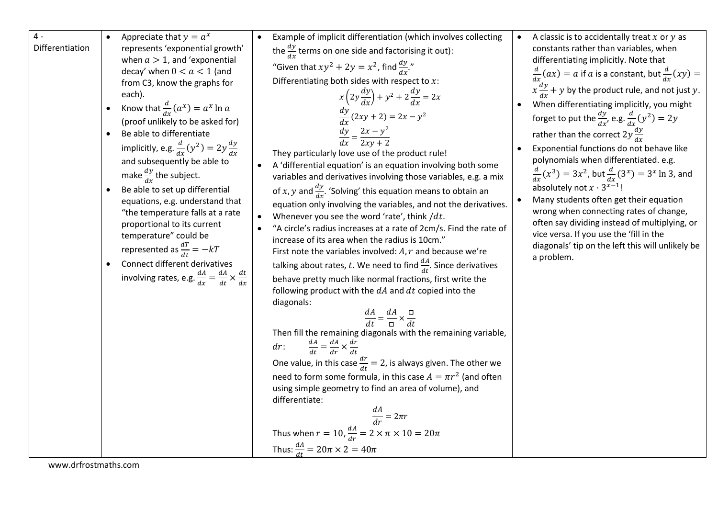| $4 -$           |           | Appreciate that $y = a^x$                                                  | Example of implicit differentiation (which involves collecting                                                                  | $\bullet$ | A classic is to accidentally treat $x$ or $y$ as                                            |
|-----------------|-----------|----------------------------------------------------------------------------|---------------------------------------------------------------------------------------------------------------------------------|-----------|---------------------------------------------------------------------------------------------|
| Differentiation |           | represents 'exponential growth'                                            | the $\frac{dy}{dx}$ terms on one side and factorising it out):                                                                  |           | constants rather than variables, when                                                       |
|                 |           | when $a > 1$ , and 'exponential                                            | "Given that $xy^2 + 2y = x^2$ , find $\frac{dy}{dx}$ ."                                                                         |           | differentiating implicitly. Note that                                                       |
|                 |           | decay' when $0 < a < 1$ (and<br>from C3, know the graphs for               | Differentiating both sides with respect to $x$ :                                                                                |           | $\frac{d}{dx}(ax) = a$ if a is a constant, but $\frac{d}{dx}(xy) =$                         |
|                 |           | each).                                                                     | $x\left(2y\frac{dy}{dx}\right) + y^2 + 2\frac{dy}{dx} = 2x$                                                                     |           | $x \frac{dy}{dx} + y$ by the product rule, and not just y.                                  |
|                 |           | Know that $\frac{d}{dx}(a^x) = a^x \ln a$                                  |                                                                                                                                 |           | When differentiating implicitly, you might                                                  |
|                 |           | (proof unlikely to be asked for)                                           | $\frac{dy}{dx}(2xy + 2) = 2x - y^2$                                                                                             |           | forget to put the $\frac{dy}{dx}$ , e.g. $\frac{d}{dx}(y^2) = 2y$                           |
|                 | $\bullet$ | Be able to differentiate                                                   | $\frac{dy}{dx} = \frac{2x - y^2}{2xy + 2}$                                                                                      |           | rather than the correct $2y \frac{dy}{dx}$                                                  |
|                 |           | implicitly, e.g. $\frac{d}{dx}(y^2) = 2y \frac{dy}{dx}$                    |                                                                                                                                 |           | Exponential functions do not behave like                                                    |
|                 |           | and subsequently be able to                                                | They particularly love use of the product rule!                                                                                 |           | polynomials when differentiated. e.g.                                                       |
|                 |           | make $\frac{dy}{dx}$ the subject.                                          | A 'differential equation' is an equation involving both some<br>variables and derivatives involving those variables, e.g. a mix |           | $\frac{d}{dx}(x^3) = 3x^2$ , but $\frac{d}{dx}(3^x) = 3^x \ln 3$ , and                      |
|                 |           | Be able to set up differential                                             | of x, y and $\frac{dy}{dx}$ . 'Solving' this equation means to obtain an                                                        |           | absolutely not $x \cdot 3^{x-1}$ !                                                          |
|                 |           | equations, e.g. understand that                                            | equation only involving the variables, and not the derivatives.                                                                 |           | Many students often get their equation                                                      |
|                 |           | "the temperature falls at a rate                                           | Whenever you see the word 'rate', think $/dt$ .                                                                                 |           | wrong when connecting rates of change,                                                      |
|                 |           | proportional to its current                                                | "A circle's radius increases at a rate of 2cm/s. Find the rate of                                                               |           | often say dividing instead of multiplying, or                                               |
|                 |           | temperature" could be                                                      | increase of its area when the radius is 10cm."                                                                                  |           | vice versa. If you use the 'fill in the<br>diagonals' tip on the left this will unlikely be |
|                 |           | represented as $\frac{dT}{dt} = -kT$                                       | First note the variables involved: $A, r$ and because we're                                                                     |           | a problem.                                                                                  |
|                 |           | Connect different derivatives                                              | talking about rates, t. We need to find $\frac{dA}{dt}$ . Since derivatives                                                     |           |                                                                                             |
|                 |           | involving rates, e.g. $\frac{dA}{dx} = \frac{dA}{dt} \times \frac{dt}{dx}$ | behave pretty much like normal fractions, first write the                                                                       |           |                                                                                             |
|                 |           |                                                                            | following product with the $dA$ and $dt$ copied into the<br>diagonals:                                                          |           |                                                                                             |
|                 |           |                                                                            |                                                                                                                                 |           |                                                                                             |
|                 |           |                                                                            | $\frac{dA}{dt} = \frac{dA}{\Box} \times \frac{\Box}{dt}$                                                                        |           |                                                                                             |
|                 |           |                                                                            | Then fill the remaining diagonals with the remaining variable,                                                                  |           |                                                                                             |
|                 |           |                                                                            | $\frac{dA}{dt} = \frac{dA}{dr} \times \frac{dr}{dt}$<br>$dr$ :                                                                  |           |                                                                                             |
|                 |           |                                                                            | One value, in this case $\frac{dr}{dt} = 2$ , is always given. The other we                                                     |           |                                                                                             |
|                 |           |                                                                            | need to form some formula, in this case $A = \pi r^2$ (and often                                                                |           |                                                                                             |
|                 |           |                                                                            | using simple geometry to find an area of volume), and                                                                           |           |                                                                                             |
|                 |           |                                                                            | differentiate:                                                                                                                  |           |                                                                                             |
|                 |           |                                                                            | $\frac{dA}{dr} = 2\pi r$                                                                                                        |           |                                                                                             |
|                 |           |                                                                            | Thus when $r = 10$ , $\frac{dA}{dr} = 2 \times \pi \times 10 = 20\pi$                                                           |           |                                                                                             |
|                 |           |                                                                            | Thus: $\frac{dA}{dt} = 20\pi \times 2 = 40\pi$                                                                                  |           |                                                                                             |

www.drfrostmaths.com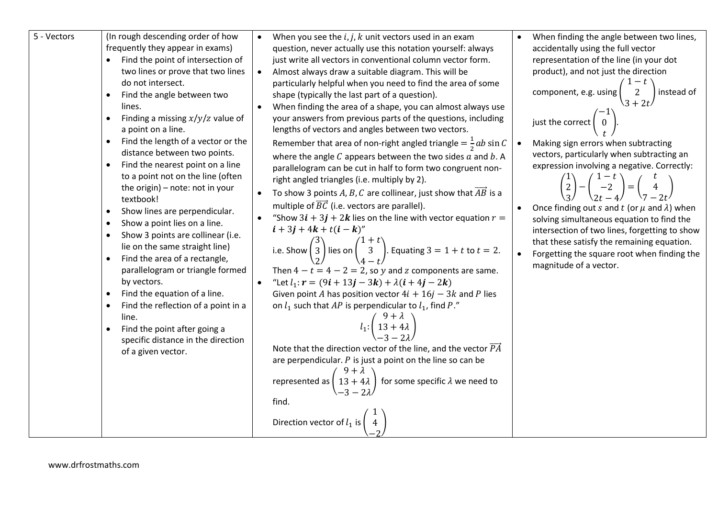| 5 - Vectors | (In rough descending order of how<br>frequently they appear in exams)<br>Find the point of intersection of<br>two lines or prove that two lines<br>do not intersect.<br>Find the angle between two<br>$\bullet$<br>lines.<br>Finding a missing $x/y/z$ value of<br>$\bullet$<br>a point on a line.<br>Find the length of a vector or the<br>distance between two points.<br>Find the nearest point on a line<br>$\bullet$<br>to a point not on the line (often<br>the origin) - note: not in your<br>textbook!<br>Show lines are perpendicular.<br>$\bullet$<br>Show a point lies on a line.<br>$\bullet$<br>Show 3 points are collinear (i.e.<br>$\bullet$<br>lie on the same straight line)<br>Find the area of a rectangle,<br>$\bullet$<br>parallelogram or triangle formed<br>by vectors.<br>Find the equation of a line.<br>$\bullet$<br>Find the reflection of a point in a<br>$\bullet$<br>line.<br>Find the point after going a<br>specific distance in the direction<br>of a given vector. | When you see the $i, j, k$ unit vectors used in an exam<br>$\bullet$<br>question, never actually use this notation yourself: always<br>just write all vectors in conventional column vector form.<br>Almost always draw a suitable diagram. This will be<br>$\bullet$<br>particularly helpful when you need to find the area of some<br>shape (typically the last part of a question).<br>When finding the area of a shape, you can almost always use<br>your answers from previous parts of the questions, including<br>lengths of vectors and angles between two vectors.<br>Remember that area of non-right angled triangle $=\frac{1}{2}ab\sin C$<br>where the angle $C$ appears between the two sides $a$ and $b$ . A<br>parallelogram can be cut in half to form two congruent non-<br>right angled triangles (i.e. multiply by 2).<br>To show 3 points A, B, C are collinear, just show that $AB$ is a<br>multiple of $\overline{BC}$ (i.e. vectors are parallel).<br>"Show $3i + 3j + 2k$ lies on the line with vector equation $r =$<br>$i + 3j + 4k + t(i - k)''$<br>i.e. Show $\begin{pmatrix} 3 \\ 3 \\ 2 \end{pmatrix}$ lies on $\begin{pmatrix} 1+t \\ 3 \\ 4-t \end{pmatrix}$ . Equating $3 = 1 + t$ to $t = 2$ .<br>Then $4 - t = 4 - 2 = 2$ , so y and z components are same.<br>"Let $l_1$ : $r = (9i + 13j - 3k) + \lambda(i + 4j - 2k)$<br>$\bullet$<br>Given point A has position vector $4i + 16j - 3k$ and P lies<br>on $l_1$ such that AP is perpendicular to $l_1$ , find P."<br>$l_1:\left(\begin{array}{c}9+\lambda\\13+4\lambda\end{array}\right)$<br>Note that the direction vector of the line, and the vector $\overrightarrow{PA}$<br>are perpendicular. $P$ is just a point on the line so can be<br>タ+ぇ<br>$13 + 4\lambda$<br>for some specific $\lambda$ we need to<br>represented as | When finding the angle between two lines,<br>accidentally using the full vector<br>representation of the line (in your dot<br>product), and not just the direction<br>component, e.g. using  <br>instead of<br>just the correct<br>Making sign errors when subtracting<br>vectors, particularly when subtracting an<br>expression involving a negative. Correctly:<br>$\begin{pmatrix} 1-t \\ -2 \\ 2t-4 \end{pmatrix} = \begin{pmatrix} 1 \\ 2 \end{pmatrix}$<br>Once finding out s and t (or $\mu$ and $\lambda$ ) when<br>solving simultaneous equation to find the<br>intersection of two lines, forgetting to show<br>that these satisfy the remaining equation.<br>Forgetting the square root when finding the<br>magnitude of a vector. |
|-------------|------------------------------------------------------------------------------------------------------------------------------------------------------------------------------------------------------------------------------------------------------------------------------------------------------------------------------------------------------------------------------------------------------------------------------------------------------------------------------------------------------------------------------------------------------------------------------------------------------------------------------------------------------------------------------------------------------------------------------------------------------------------------------------------------------------------------------------------------------------------------------------------------------------------------------------------------------------------------------------------------------|--------------------------------------------------------------------------------------------------------------------------------------------------------------------------------------------------------------------------------------------------------------------------------------------------------------------------------------------------------------------------------------------------------------------------------------------------------------------------------------------------------------------------------------------------------------------------------------------------------------------------------------------------------------------------------------------------------------------------------------------------------------------------------------------------------------------------------------------------------------------------------------------------------------------------------------------------------------------------------------------------------------------------------------------------------------------------------------------------------------------------------------------------------------------------------------------------------------------------------------------------------------------------------------------------------------------------------------------------------------------------------------------------------------------------------------------------------------------------------------------------------------------------------------------------------------------------------------------------------------------------------------------------------------------------------------------------------------------------------------------------------------------------------------------------------------------------|------------------------------------------------------------------------------------------------------------------------------------------------------------------------------------------------------------------------------------------------------------------------------------------------------------------------------------------------------------------------------------------------------------------------------------------------------------------------------------------------------------------------------------------------------------------------------------------------------------------------------------------------------------------------------------------------------------------------------------------------|
|             |                                                                                                                                                                                                                                                                                                                                                                                                                                                                                                                                                                                                                                                                                                                                                                                                                                                                                                                                                                                                      | find.<br>Direction vector of $l_1$ is $\vert$                                                                                                                                                                                                                                                                                                                                                                                                                                                                                                                                                                                                                                                                                                                                                                                                                                                                                                                                                                                                                                                                                                                                                                                                                                                                                                                                                                                                                                                                                                                                                                                                                                                                                                                                                                            |                                                                                                                                                                                                                                                                                                                                                                                                                                                                                                                                                                                                                                                                                                                                                |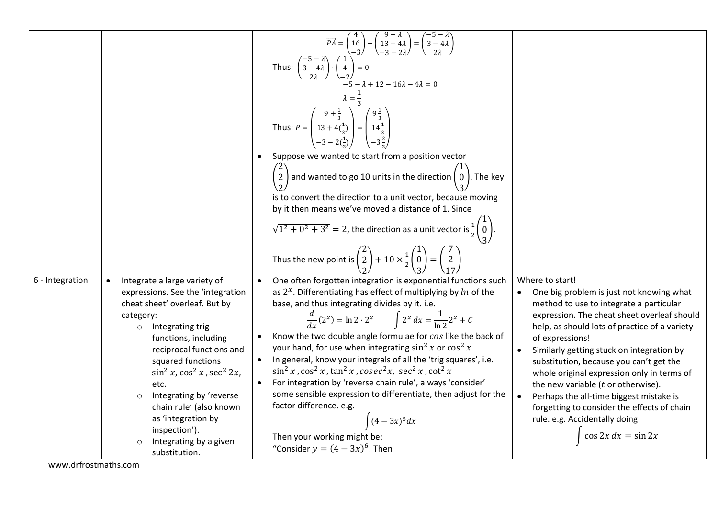|                                                                                                                                                                                                                                                                                                                                                                                                                                                  | $\overrightarrow{PA} = \begin{pmatrix} 4 \\ 16 \\ -3 \end{pmatrix} - \begin{pmatrix} 9+\lambda \\ 13+4\lambda \\ -3-2\lambda \end{pmatrix} = \begin{pmatrix} -5-\lambda \\ 3-4\lambda \\ 2\lambda \end{pmatrix}$<br>Thus: $\begin{pmatrix} -5 - \lambda \\ 3 - 4\lambda \\ 2\lambda \end{pmatrix} \cdot \begin{pmatrix} 1 \\ 4 \\ -2 \end{pmatrix} = 0$<br>$-5 - \lambda + 12 - 16\lambda - 4\lambda = 0$<br>$\lambda = \frac{1}{3}$<br>Thus: $P = \begin{pmatrix} 9 + \frac{1}{3} \\ 13 + 4\left(\frac{1}{3}\right) \\ -3 - 2\left(\frac{1}{3}\right) \end{pmatrix} = \begin{pmatrix} 9\frac{1}{3} \\ 14\frac{1}{3} \\ -3\frac{2}{3} \end{pmatrix}$<br>Suppose we wanted to start from a position vector<br>$\left(\frac{2}{2}\right)$ and wanted to go 10 units in the direction $\left(\frac{0}{2}\right)$ . The key<br>is to convert the direction to a unit vector, because moving<br>by it then means we've moved a distance of 1. Since<br>$\sqrt{1^2 + 0^2 + 3^2} = 2$ , the direction as a unit vector is $\frac{1}{2} \begin{pmatrix} 1 \\ 0 \end{pmatrix}$<br>Thus the new point is $\begin{pmatrix} 2 \\ 2 \\ 2 \end{pmatrix} + 10 \times \frac{1}{2} \begin{pmatrix} 1 \\ 0 \\ 2 \end{pmatrix} = \begin{pmatrix} 7 \\ 2 \\ 47 \end{pmatrix}$ |                                                                                                                                                                                                                                                                                                                                                                                                                                                                                                                                                                           |
|--------------------------------------------------------------------------------------------------------------------------------------------------------------------------------------------------------------------------------------------------------------------------------------------------------------------------------------------------------------------------------------------------------------------------------------------------|-----------------------------------------------------------------------------------------------------------------------------------------------------------------------------------------------------------------------------------------------------------------------------------------------------------------------------------------------------------------------------------------------------------------------------------------------------------------------------------------------------------------------------------------------------------------------------------------------------------------------------------------------------------------------------------------------------------------------------------------------------------------------------------------------------------------------------------------------------------------------------------------------------------------------------------------------------------------------------------------------------------------------------------------------------------------------------------------------------------------------------------------------------------------------------------------------------------------------------------------------------------|---------------------------------------------------------------------------------------------------------------------------------------------------------------------------------------------------------------------------------------------------------------------------------------------------------------------------------------------------------------------------------------------------------------------------------------------------------------------------------------------------------------------------------------------------------------------------|
| 6 - Integration<br>Integrate a large variety of<br>expressions. See the 'integration<br>cheat sheet' overleaf. But by<br>category:<br>Integrating trig<br>$\circ$<br>functions, including<br>reciprocal functions and<br>squared functions<br>$\sin^2 x$ , $\cos^2 x$ , $\sec^2 2x$ ,<br>etc.<br>Integrating by 'reverse<br>$\circ$<br>chain rule' (also known<br>as 'integration by<br>inspection').<br>Integrating by a given<br>substitution. | One often forgotten integration is exponential functions such<br>as $2^x$ . Differentiating has effect of multiplying by ln of the<br>base, and thus integrating divides by it. i.e.<br>$\frac{d}{dx}(2^x) = \ln 2 \cdot 2^x$ $\int 2^x dx = \frac{1}{\ln 2} 2^x + C$<br>Know the two double angle formulae for cos like the back of<br>your hand, for use when integrating $\sin^2 x$ or $\cos^2 x$<br>In general, know your integrals of all the 'trig squares', i.e.<br>$\sin^2 x$ , $\cos^2 x$ , $\tan^2 x$ , $\csc^2 x$ , $\sec^2 x$ , $\cot^2 x$<br>For integration by 'reverse chain rule', always 'consider'<br>some sensible expression to differentiate, then adjust for the<br>factor difference. e.g.<br>$(4-3x)^5 dx$<br>Then your working might be:<br>"Consider $y = (4 - 3x)^6$ . Then                                                                                                                                                                                                                                                                                                                                                                                                                                                    | Where to start!<br>One big problem is just not knowing what<br>method to use to integrate a particular<br>expression. The cheat sheet overleaf should<br>help, as should lots of practice of a variety<br>of expressions!<br>Similarly getting stuck on integration by<br>substitution, because you can't get the<br>whole original expression only in terms of<br>the new variable $(t$ or otherwise).<br>Perhaps the all-time biggest mistake is<br>$\bullet$<br>forgetting to consider the effects of chain<br>rule. e.g. Accidentally doing<br>$\cos 2x dx = \sin 2x$ |

www.drfrostmaths.com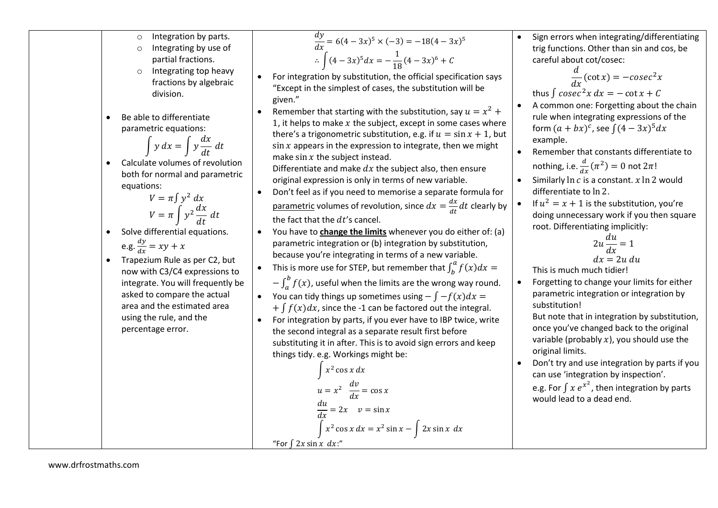- Integration by parts.
- Integrating by use of partial fractions.
- o Integrating top heavy fractions by algebraic division.
- Be able to differentiate parametric equations:

$$
\int y \, dx = \int y \frac{dx}{dt} \, dt
$$

 Calculate volumes of revolution both for normal and parametric equations:

$$
V = \pi \int y^2 dx
$$
  

$$
V = \pi \int y^2 \frac{dx}{dt} dt
$$

- Solve differential equations. e.g.  $\frac{dy}{dx}$  $\frac{dy}{dx} = xy + x$
- Trapezium Rule as per C2, but now with C3/C4 expressions to integrate. You will frequently be asked to compare the actual area and the estimated area using the rule, and the percentage error.
- $\frac{dy}{dx} = 6(4 3x)^5 \times (-3) = -18(4 3x)^5$ ∴  $\int (4-3x)^5 dx = -\frac{1}{16}$  $\frac{1}{18}(4-3x)^6 + C$
- For integration by substitution, the official specification says "Except in the simplest of cases, the substitution will be given."
- Remember that starting with the substitution, say  $u = x^2 +$ 1, it helps to make  $x$  the subject, except in some cases where there's a trigonometric substitution, e.g. if  $u = \sin x + 1$ , but  $\sin x$  appears in the expression to integrate, then we might make  $\sin x$  the subject instead.

Differentiate and make  $dx$  the subject also, then ensure original expression is only in terms of new variable.

- Don't feel as if you need to memorise a separate formula for <u>parametric</u> volumes of revolution, since  $dx = \frac{dx}{dt}$  $\frac{dx}{dt}dt$  clearly by the fact that the  $dt$ 's cancel.
- You have to **change the limits** whenever you do either of: (a) parametric integration or (b) integration by substitution, because you're integrating in terms of a new variable.
- This is more use for STEP, but remember that  $\int_b^a f(x) dx =$
- $-\int_a^b f(x)$  $\int_{a}^{\infty} f(x)$ , useful when the limits are the wrong way round.
- You can tidy things up sometimes using  $-\int -f(x)dx =$  $+ \int f(x) dx$ , since the -1 can be factored out the integral.
- For integration by parts, if you ever have to IBP twice, write the second integral as a separate result first before substituting it in after. This is to avoid sign errors and keep things tidy. e.g. Workings might be:

$$
\int x^2 \cos x \, dx
$$
  
\n
$$
u = x^2 \frac{dv}{dx} = \cos x
$$
  
\n
$$
\frac{du}{dx} = 2x \quad v = \sin x
$$
  
\n
$$
\int x^2 \cos x \, dx = x^2 \sin x - \int 2x \sin x \, dx
$$
  
\n"For  $\int 2x \sin x \, dx$ ."

 Sign errors when integrating/differentiating trig functions. Other than sin and cos, be careful about cot/cosec:

$$
\frac{d}{dx}(\cot x) = -\csc^2 x
$$
  
thus  $\int \csc^2 x \, dx = -\cot x + C$ 

- A common one: Forgetting about the chain rule when integrating expressions of the form  $(a + bx)^c$ , see  $\int (4 - 3x)^5 dx$ example.
- Remember that constants differentiate to nothing, i.e.  $\frac{d}{dx}(\pi^2) = 0$  not  $2\pi!$
- Similarly  $\ln c$  is a constant.  $x \ln 2$  would differentiate to ln 2.
- If  $u^2 = x + 1$  is the substitution, you're doing unnecessary work if you then square root. Differentiating implicitly:

$$
2u\frac{du}{dx} = 1
$$
  
dx = 2u du

This is much much tidier!

• Forgetting to change your limits for either parametric integration or integration by substitution!

But note that in integration by substitution, once you've changed back to the original variable (probably  $x$ ), you should use the original limits.

 Don't try and use integration by parts if you can use 'integration by inspection'.

e.g. For  $\int x e^{x^2}$ , then integration by parts would lead to a dead end.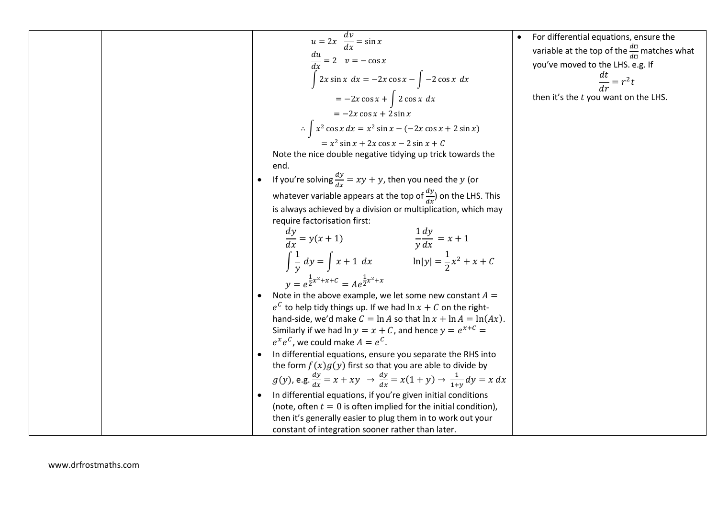$$
u = 2x \frac{dv}{dx} = \sin x
$$
  
\n
$$
\frac{du}{dx} = 2 \quad v = -\cos x
$$
  
\n
$$
\frac{dx}{dx} = 2 \quad v = -\cos x
$$
  
\n
$$
\int 2x \sin x \, dx = -2x \cos x - \int -2 \cos x \, dx
$$
  
\n
$$
= -2x \cos x + \int 2 \cos x \, dx
$$
  
\n
$$
= -2x \cos x + 2 \sin x
$$
  
\n
$$
\therefore \int x^2 \cos x \, dx = x^2 \sin x - (-2x \cos x + 2 \sin x)
$$
  
\nNote the die double negative tidiying up trick towards the end.  
\nNote the rule double negative tidiying up trick towards the end.  
\n  
\n**EXECUTE:** Note that the value of the *x* is  $\frac{dy}{dx} = xy + y$ , then you need the *y* (or  
\n*x*th  
\n**EXECUTE:** What is  $\frac{dy}{dx} = xy + y$ , then you need the *y* (or  
\n*y*th  
\n**EXECUTE:** What is  $\frac{dy}{dx} = xy + y$ , then you need the *y* (or  
\n*y*th  
\n**EXECUTE:** What is  $\frac{dy}{dx} = \frac{2}{x}x + x + C$  and  $\frac{dy}{dx} = x + 1$   
\n
$$
\int \frac{1}{y} \, dy = \int x + 1 \, dx
$$
  
\n
$$
\int \frac{1}{y} \, dy = \int x + 1 \, dx
$$
  
\n
$$
\int \frac{1}{y} \, dy = \int x + 1 \, dx
$$
  
\n
$$
\int \frac{1}{y} \, dy = \int x + 1 \, dx
$$
  
\n
$$
\int \frac{1}{y} \, dy = \int x + 1 \, dx
$$
  
\n
$$
\int \frac{1}{y} \, dy = \int x + 1 \, dx
$$
  
\n
$$
\int \frac{1}{y} \, dy = \int x + 1 \, dx
$$
  
\n
$$
\int \sin \sin \left( \sin \theta \right) \, dx = \sin \theta \quad \text{for } \theta \text{ is } \tan \theta \text{ is } x +
$$